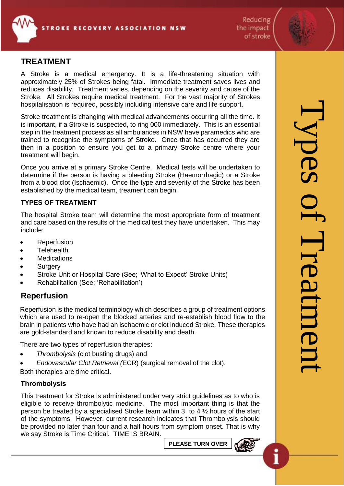

Reducing the impact of stroke

# **TREATMENT**

A Stroke is a medical emergency. It is a life-threatening situation with approximately 25% of Strokes being fatal. Immediate treatment saves lives and reduces disability. Treatment varies, depending on the severity and cause of the Stroke. All Strokes require medical treatment. For the vast majority of Strokes hospitalisation is required, possibly including intensive care and life support.

Stroke treatment is changing with medical advancements occurring all the time. It is important, if a Stroke is suspected, to ring 000 immediately. This is an essential step in the treatment process as all ambulances in NSW have paramedics who are trained to recognise the symptoms of Stroke. Once that has occurred they are then in a position to ensure you get to a primary Stroke centre where your treatment will begin.

Once you arrive at a primary Stroke Centre. Medical tests will be undertaken to determine if the person is having a bleeding Stroke (Haemorrhagic) or a Stroke from a blood clot (Ischaemic). Once the type and severity of the Stroke has been established by the medical team, treament can begin.

#### **TYPES OF TREATMENT**

The hospital Stroke team will determine the most appropriate form of treatment and care based on the results of the medical test they have undertaken. This may include:

- **Reperfusion**
- **Telehealth**
- **Medications**
- **Surgery**
- Stroke Unit or Hospital Care (See; 'What to Expect' Stroke Units)
- Rehabilitation (See; 'Rehabilitation')

# **Reperfusion**

Reperfusion is the medical terminology which describes a group of treatment options which are used to re-open the blocked arteries and re-establish blood flow to the brain in patients who have had an ischaemic or clot induced Stroke. These therapies are gold-standard and known to reduce disability and death.

There are two types of reperfusion therapies:

- *Thrombolysis* (clot busting drugs) and
- *Endovascular Clot Retrieval (*ECR) (surgical removal of the clot).
- Both therapies are time critical.

#### **Thrombolysis**

This treatment for Stroke is administered under very strict guidelines as to who is eligible to receive thrombolytic medicine. The most important thing is that the person be treated by a specialised Stroke team within 3 to 4 ½ hours of the start of the symptoms. However, current research indicates that Thrombolysis should be provided no later than four and a half hours from symptom onset. That is why we say Stroke is Time Critical. TIME IS BRAIN.

**PLEASE TURN OVER**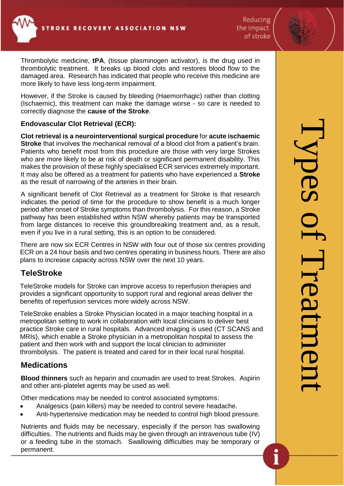Reducing the impact of stroke

Thrombolytic medicine, **tPA**, (tissue plasminogen activator), is the drug used in thrombolytic treatment. It breaks up blood clots and restores blood flow to the damaged area. Research has indicated that people who receive this medicine are more likely to have less long-term impairment.

However, if the Stroke is caused by bleeding (Haemorrhagic) rather than clotting (Ischaemic), this treatment can make the damage worse - so care is needed to correctly diagnose the **cause of the Stroke**.

### **Endovascular Clot Retrieval (ECR):**

**Clot retrieval is a neurointerventional surgical procedure** for **acute ischaemic Stroke** that involves the mechanical removal of a blood clot from a patient's brain. Patients who benefit most from this procedure are those with very large Strokes who are more likely to be at risk of death or significant permanent disability. This makes the provision of these highly specialised ECR services extremely important. It may also be offered as a treatment for patients who have experienced a **Stroke** as the result of narrowing of the arteries in their brain.

A significant benefit of Clot Retrieval as a treatment for Stroke is that research indicates the period of time for the procedure to show benefit is a much longer period after onset of Stroke symptoms than thrombolysis. For this reason, a Stroke pathway has been established within NSW whereby patients may be transported from large distances to receive this groundbreaking treatment and, as a result, even if you live in a rural setting, this is an option to be considered.

There are now six ECR Centres in NSW with four out of those six centres providing ECR on a 24 hour basis and two centres operating in business hours. There are also plans to increase capacity across NSW over the next 10 years.

# **TeleStroke**

TeleStroke models for Stroke can improve access to reperfusion therapies and provides a significant opportunity to support rural and regional areas deliver the benefits of reperfusion services more widely across NSW.

TeleStroke enables a Stroke Physician located in a major teaching hospital in a metropolitan setting to work in collaboration with local clinicians to deliver best practice Stroke care in rural hospitals. Advanced imaging is used (CT SCANS and MRIs), which enable a Stroke physician in a metropolitan hospital to assess the patient and then work with and support the local clinician to administer thrombolysis. The patient is treated and cared for in their local rural hospital.

# **Medications**

**Blood thinners** such as heparin and coumadin are used to treat Strokes. Aspirin and other anti-platelet agents may be used as well.

Other medications may be needed to control associated symptoms:

- Analgesics (pain killers) may be needed to control severe headache.
- Anti-hypertensive medication may be needed to control high blood pressure.

Nutrients and fluids may be necessary, especially if the person has swallowing difficulties. The nutrients and fluids may be given through an intravenous tube (IV) or a feeding tube in the stomach. Swallowing difficulties may be temporary or permanent.